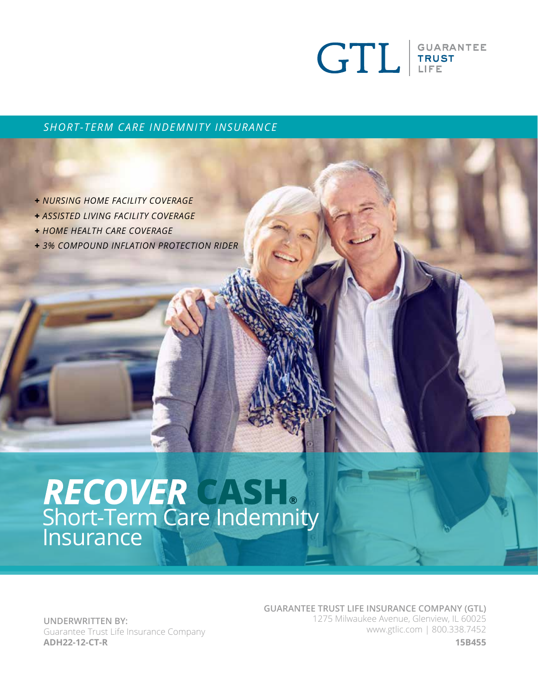

#### *SHORT-TERM CARE INDEMNITY INSURANCE*

- **+** *NURSING HOME FACILITY COVERAGE*
- **+** *ASSISTED LIVING FACILITY COVERAGE*
- **+** *HOME HEALTH CARE COVERAGE*
- **+** *3% COMPOUND INFLATION PROTECTION RIDER*

# **®** Short-Term Care Indemnity<br>Insurance

**UNDERWRITTEN BY:** Guarantee Trust Life Insurance Company **ADH22-12-CT-R**

**GUARANTEE TRUST LIFE INSURANCE COMPANY (GTL)** 1275 Milwaukee Avenue, Glenview, IL 60025 www.gtlic.com | 800.338.7452

**15B455**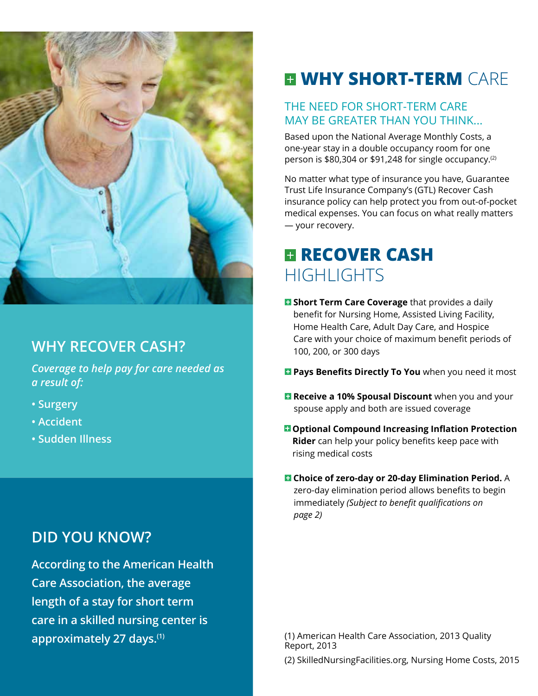

### **WHY RECOVER CASH?**

*Coverage to help pay for care needed as a result of:*

- **Surgery**
- **Accident**
- **Sudden Illness**

### **DID YOU KNOW?**

**According to the American Health Care Association, the average length of a stay for short term care in a skilled nursing center is** 

# **WHY SHORT-TERM** CARE

#### THE NEED FOR SHORT-TERM CARE MAY BE GREATER THAN YOU THINK...

Based upon the National Average Monthly Costs, a one-year stay in a double occupancy room for one person is \$80,304 or \$91,248 for single occupancy.<sup>(2)</sup>

No matter what type of insurance you have, Guarantee Trust Life Insurance Company's (GTL) Recover Cash insurance policy can help protect you from out-of-pocket medical expenses. You can focus on what really matters — your recovery.

### **RECOVER CASH** HIGHI IGHTS

- **B** Short Term Care Coverage that provides a daily benefit for Nursing Home, Assisted Living Facility, Home Health Care, Adult Day Care, and Hospice Care with your choice of maximum benefit periods of 100, 200, or 300 days
- **Pays Benefits Directly To You** when you need it most
- **E** Receive a 10% Spousal Discount when you and your spouse apply and both are issued coverage
- **D** Optional Compound Increasing Inflation Protection **Rider** can help your policy benefits keep pace with rising medical costs
- **Choice of zero-day or 20-day Elimination Period.** A zero-day elimination period allows benefits to begin immediately *(Subject to benefit qualifications on page 2)*

**approximately 27 days.<sup>(1)</sup> (1)** American Health Care Association, 2013 Quality Report, 2013

(2) SkilledNursingFacilities.org, Nursing Home Costs, 2015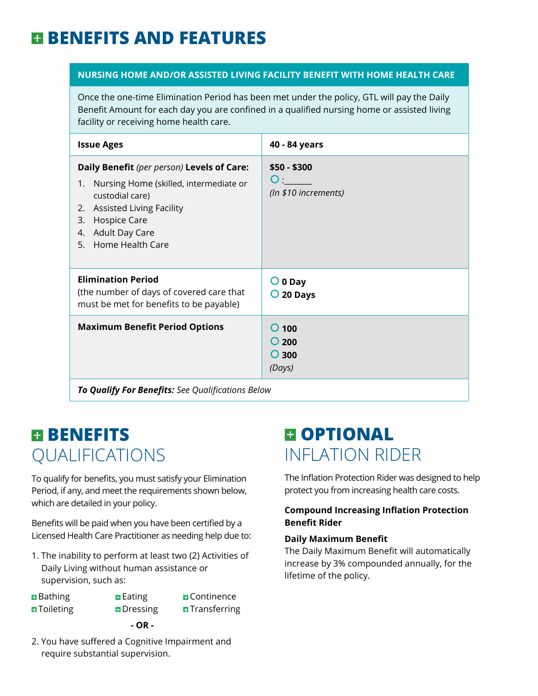# **BENEFITS AND FEATURES**

#### **NURSING HOME AND/OR ASSISTED LIVING FACILITY BENEFIT WITH HOME HEALTH CARE**

Once the one-time Elimination Period has been met under the policy, GTL will pay the Daily Benefit Amount for each day you are confined in a qualified nursing home or assisted living facility or receiving home health care.

| <b>Issue Ages</b>                                                                                                                                                                                                                         | 40 - 84 years                                          |  |  |
|-------------------------------------------------------------------------------------------------------------------------------------------------------------------------------------------------------------------------------------------|--------------------------------------------------------|--|--|
| Daily Benefit (per person) Levels of Care:<br>Nursing Home (skilled, intermediate or<br>1.<br>custodial care)<br><b>Assisted Living Facility</b><br>2.<br><b>Hospice Care</b><br>3.<br><b>Adult Day Care</b><br>4.<br>5. Home Health Care | \$50 - \$300<br>O <sub>1</sub><br>(In \$10 increments) |  |  |
| <b>Elimination Period</b><br>(the number of days of covered care that<br>must be met for benefits to be payable)                                                                                                                          | $O$ 0 Day<br>$O$ 20 Days                               |  |  |
| <b>Maximum Benefit Period Options</b>                                                                                                                                                                                                     | $O$ 100<br>$O$ 200<br>$O$ 300<br>(Days)                |  |  |
| To Qualify For Benefits: See Qualifications Below                                                                                                                                                                                         |                                                        |  |  |

### **E BENEFITS** QUALIFICATIONS

To qualify for benefits, you must satisfy your Elimination Period, if any, and meet the requirements shown below, which are detailed in your policy.

Benefits will be paid when you have been certified by a Licensed Health Care Practitioner as needing help due to:

- 1. The inability to perform at least two (2) Activities of Daily Living without human assistance or supervision, such as:
- **Example Eating Continence O**Toileting Dressing **D**Transferring **- OR -**

2. You have suffered a Cognitive Impairment and require substantial supervision.

# **EI OPTIONAL** INFLATION RIDER

The Inflation Protection Rider was designed to help protect you from increasing health care costs.

#### **Compound Increasing Inflation Protection Benefit Rider**

#### **Daily Maximum Benefit**

The Daily Maximum Benefit will automatically increase by 3% compounded annually, for the lifetime of the policy.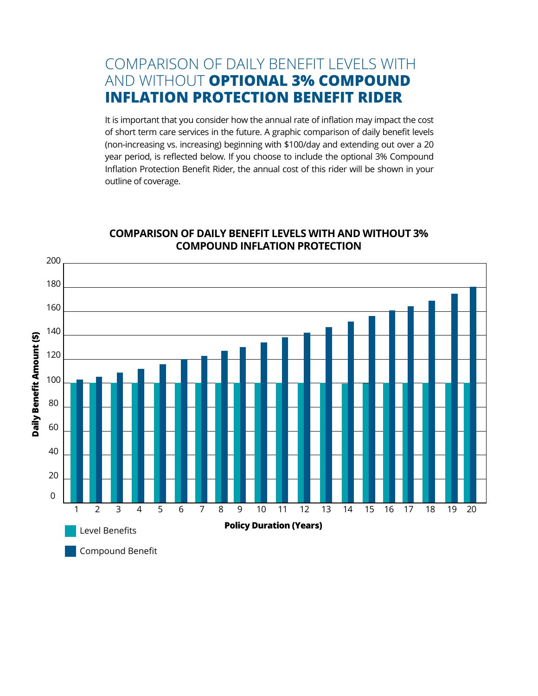### COMPARISON OF DAILY BENEFIT LEVELS WITH AND WITHOUT **OPTIONAL 3% COMPOUND INFLATION PROTECTION BENEFIT RIDER**

It is important that you consider how the annual rate of inflation may impact the cost of short term care services in the future. A graphic comparison of daily benefit levels (non-increasing vs. increasing) beginning with \$100/day and extending out over a 20 year period, is reflected below. If you choose to include the optional 3% Compound Inflation Protection Benefit Rider, the annual cost of this rider will be shown in your outline of coverage.



#### **COMPARISON OF DAILY BENEFIT LEVELS WITH AND WITHOUT 3% COMPOUND INFLATION PROTECTION**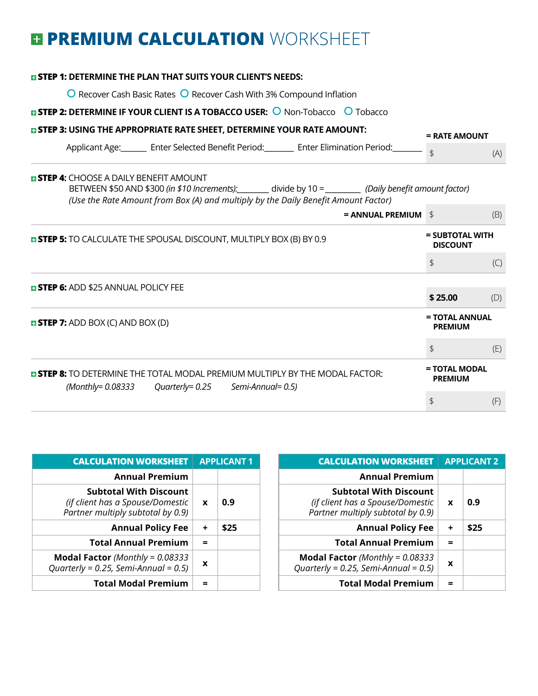# **E PREMIUM CALCULATION WORKSHEET**

| <b>¤ STEP 1: DETERMINE THE PLAN THAT SUITS YOUR CLIENT'S NEEDS:</b>                                                                                                                                                                        |                 |                                    |  |
|--------------------------------------------------------------------------------------------------------------------------------------------------------------------------------------------------------------------------------------------|-----------------|------------------------------------|--|
| O Recover Cash Basic Rates O Recover Cash With 3% Compound Inflation                                                                                                                                                                       |                 |                                    |  |
| <b>EISTEP 2: DETERMINE IF YOUR CLIENT IS A TOBACCO USER: O Non-Tobacco O Tobacco</b>                                                                                                                                                       |                 |                                    |  |
| <b>EI STEP 3: USING THE APPROPRIATE RATE SHEET, DETERMINE YOUR RATE AMOUNT:</b>                                                                                                                                                            | $=$ RATE AMOUNT |                                    |  |
| Applicant Age: Enter Selected Benefit Period: Enter Elimination Period:                                                                                                                                                                    |                 | (A)                                |  |
| <b>E STEP 4:</b> CHOOSE A DAILY BENEFIT AMOUNT<br>BETWEEN \$50 AND \$300 (in \$10 Increments): divide by 10 = ________ (Daily benefit amount factor)<br>(Use the Rate Amount from Box (A) and multiply by the Daily Benefit Amount Factor) |                 |                                    |  |
| $=$ ANNUAL PREMIUM $\frac{1}{2}$                                                                                                                                                                                                           |                 | (B)                                |  |
| <b>E STEP 5:</b> TO CALCULATE THE SPOUSAL DISCOUNT, MULTIPLY BOX (B) BY 0.9                                                                                                                                                                |                 | = SUBTOTAL WITH<br><b>DISCOUNT</b> |  |
|                                                                                                                                                                                                                                            | \$              | (C)                                |  |
| <b>E STEP 6:</b> ADD \$25 ANNUAL POLICY FEE                                                                                                                                                                                                |                 |                                    |  |
|                                                                                                                                                                                                                                            | \$25.00         | (D)                                |  |
| <b><math>\blacksquare</math> STEP 7:</b> ADD BOX (C) AND BOX (D)                                                                                                                                                                           |                 | = TOTAL ANNUAL<br><b>PREMIUM</b>   |  |
|                                                                                                                                                                                                                                            | \$              | (E)                                |  |
| <b>E STEP 8:</b> TO DETERMINE THE TOTAL MODAL PREMIUM MULTIPLY BY THE MODAL FACTOR:<br>$(Monthly = 0.08333$ Quarterly= 0.25 Semi-Annual= 0.5)                                                                                              |                 | = TOTAL MODAL                      |  |
|                                                                                                                                                                                                                                            |                 | (F)                                |  |

| <b>CALCULATION WORKSHEET</b>                                                                           | <b>APPLICANT 2</b> |      |
|--------------------------------------------------------------------------------------------------------|--------------------|------|
| <b>Annual Premium</b>                                                                                  |                    |      |
| <b>Subtotal With Discount</b><br>(if client has a Spouse/Domestic<br>Partner multiply subtotal by 0.9) | $\mathbf x$        | 0.9  |
| <b>Annual Policy Fee</b>                                                                               | ÷                  | \$25 |
| <b>Total Annual Premium</b>                                                                            |                    |      |
| <b>Modal Factor</b> (Monthly = $0.08333$<br>Quarterly = $0.25$ , Semi-Annual = $0.5$ )                 | X                  |      |
| <b>Total Modal Premium</b>                                                                             |                    |      |

| <b>CALCULATION WORKSHEET</b>                                                                           | <b>APPLICANT1</b> |      |
|--------------------------------------------------------------------------------------------------------|-------------------|------|
| <b>Annual Premium</b>                                                                                  |                   |      |
| <b>Subtotal With Discount</b><br>(if client has a Spouse/Domestic<br>Partner multiply subtotal by 0.9) | $\mathbf{x}$      | 0.9  |
| <b>Annual Policy Fee</b>                                                                               | ÷                 | \$25 |
| <b>Total Annual Premium</b>                                                                            |                   |      |
| <b>Modal Factor</b> (Monthly = $0.08333$<br>Quarterly = $0.25$ , Semi-Annual = $0.5$ )                 | X                 |      |
| <b>Total Modal Premium</b>                                                                             |                   |      |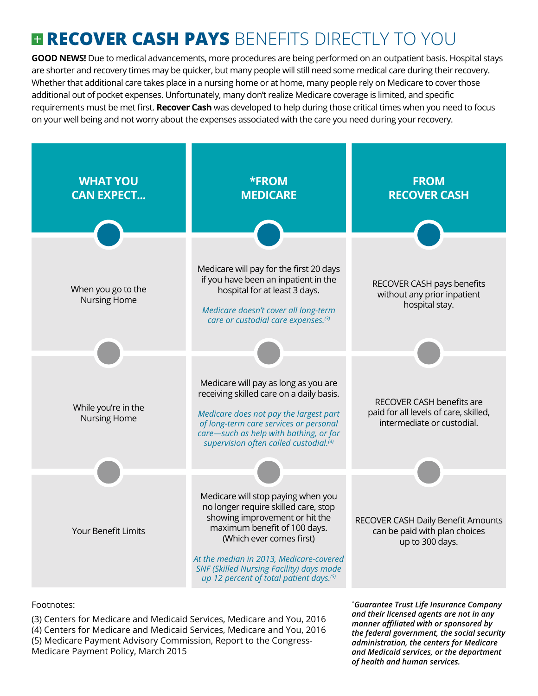# **RECOVER CASH PAYS** BENEFITS DIRECTLY TO YOU

**GOOD NEWS!** Due to medical advancements, more procedures are being performed on an outpatient basis. Hospital stays are shorter and recovery times may be quicker, but many people will still need some medical care during their recovery. Whether that additional care takes place in a nursing home or at home, many people rely on Medicare to cover those additional out of pocket expenses. Unfortunately, many don't realize Medicare coverage is limited, and specific requirements must be met first. **Recover Cash** was developed to help during those critical times when you need to focus on your well being and not worry about the expenses associated with the care you need during your recovery.



#### Footnotes:

(3) Centers for Medicare and Medicaid Services, Medicare and You, 2016 (4) Centers for Medicare and Medicaid Services, Medicare and You, 2016 (5) Medicare Payment Advisory Commission, Report to the Congress-Medicare Payment Policy, March 2015

*\* Guarantee Trust Life Insurance Company and their licensed agents are not in any manner affiliated with or sponsored by the federal government, the social security administration, the centers for Medicare and Medicaid services, or the department of health and human services.*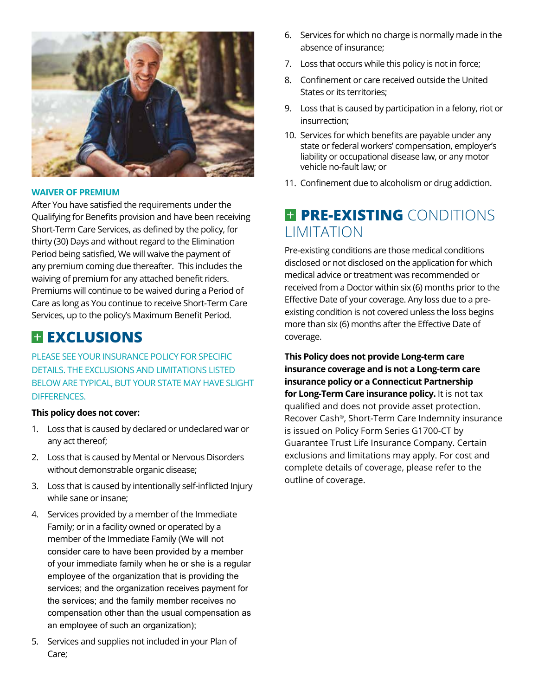

#### **WAIVER OF PREMIUM**

After You have satisfied the requirements under the Qualifying for Benefits provision and have been receiving Short-Term Care Services, as defined by the policy, for thirty (30) Days and without regard to the Elimination Period being satisfied, We will waive the payment of any premium coming due thereafter. This includes the waiving of premium for any attached benefit riders. Premiums will continue to be waived during a Period of Care as long as You continue to receive Short-Term Care Services, up to the policy's Maximum Benefit Period.

### **EXCLUSIONS**

PLEASE SEE YOUR INSURANCE POLICY FOR SPECIFIC DETAILS. THE EXCLUSIONS AND LIMITATIONS LISTED BELOW ARE TYPICAL, BUT YOUR STATE MAY HAVE SLIGHT DIFFERENCES.

#### **This policy does not cover:**

- 1. Loss that is caused by declared or undeclared war or any act thereof;
- 2. Loss that is caused by Mental or Nervous Disorders without demonstrable organic disease;
- 3. Loss that is caused by intentionally self-inflicted Injury while sane or insane;
- 4. Services provided by a member of the Immediate Family; or in a facility owned or operated by a member of the Immediate Family (We will not consider care to have been provided by a member of your immediate family when he or she is a regular employee of the organization that is providing the services; and the organization receives payment for the services; and the family member receives no compensation other than the usual compensation as an employee of such an organization);
- 5. Services and supplies not included in your Plan of Care;
- 6. Services for which no charge is normally made in the absence of insurance;
- 7. Loss that occurs while this policy is not in force;
- 8. Confinement or care received outside the United States or its territories;
- 9. Loss that is caused by participation in a felony, riot or insurrection;
- 10. Services for which benefits are payable under any state or federal workers' compensation, employer's liability or occupational disease law, or any motor vehicle no-fault law; or
- 11. Confinement due to alcoholism or drug addiction.

### **PRE-EXISTING** CONDITIONS **LIMITATION**

Pre-existing conditions are those medical conditions disclosed or not disclosed on the application for which medical advice or treatment was recommended or received from a Doctor within six (6) months prior to the Effective Date of your coverage. Any loss due to a preexisting condition is not covered unless the loss begins more than six (6) months after the Effective Date of coverage.

**This Policy does not provide Long-term care insurance coverage and is not a Long-term care insurance policy or a Connecticut Partnership for Long-Term Care insurance policy.** It is not tax qualified and does not provide asset protection. Recover Cash®, Short-Term Care Indemnity insurance is issued on Policy Form Series G1700-CT by Guarantee Trust Life Insurance Company. Certain exclusions and limitations may apply. For cost and complete details of coverage, please refer to the outline of coverage.